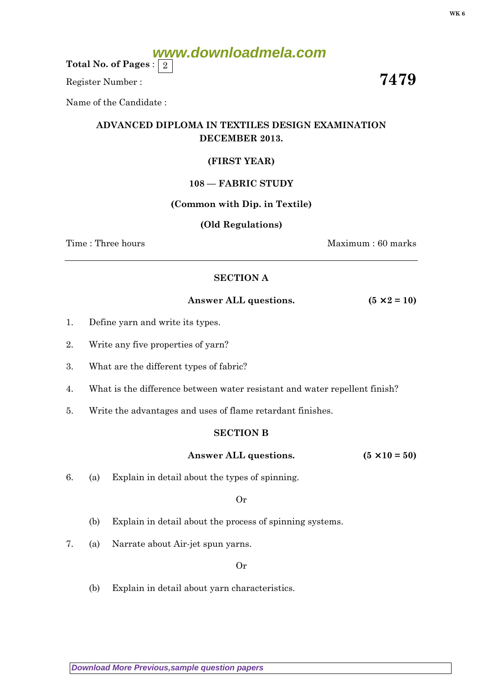# **www.downloadmela.com**

Total No. of Pages :  $\mid 2 \rangle$ 

Register Number : 7479

Name of the Candidate :

## ADVANCED DIPLOMA IN TEXTILES DESIGN EXAMINATION DECEMBER 2013.

### (FIRST YEAR)

#### 108 — FABRIC STUDY

#### (Common with Dip. in Textile)

#### (Old Regulations)

Time : Three hours Maximum : 60 marks

#### SECTION A

Answer ALL questions.  $(5 \times 2 = 10)$ 

- 1. Define yarn and write its types.
- 2. Write any five properties of yarn?
- 3. What are the different types of fabric?
- 4. What is the difference between water resistant and water repellent finish?
- 5. Write the advantages and uses of flame retardant finishes.

#### SECTION B

#### Answer ALL questions.  $(5 \times 10 = 50)$

6. (a) Explain in detail about the types of spinning.

#### Or

- (b) Explain in detail about the process of spinning systems.
- 7. (a) Narrate about Air-jet spun yarns.

#### Or

(b) Explain in detail about yarn characteristics.